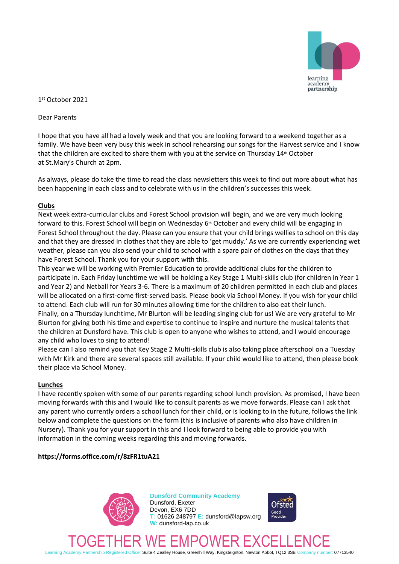

1 st October 2021

Dear Parents

I hope that you have all had a lovely week and that you are looking forward to a weekend together as a family. We have been very busy this week in school rehearsing our songs for the Harvest service and I know that the children are excited to share them with you at the service on Thursday 14<sup>th</sup> October at St.Mary's Church at 2pm.

As always, please do take the time to read the class newsletters this week to find out more about what has been happening in each class and to celebrate with us in the children's successes this week.

# **Clubs**

Next week extra-curricular clubs and Forest School provision will begin, and we are very much looking forward to this. Forest School will begin on Wednesday  $6<sup>th</sup>$  October and every child will be engaging in Forest School throughout the day. Please can you ensure that your child brings wellies to school on this day and that they are dressed in clothes that they are able to 'get muddy.' As we are currently experiencing wet weather, please can you also send your child to school with a spare pair of clothes on the days that they have Forest School. Thank you for your support with this.

This year we will be working with Premier Education to provide additional clubs for the children to participate in. Each Friday lunchtime we will be holding a Key Stage 1 Multi-skills club (for children in Year 1 and Year 2) and Netball for Years 3-6. There is a maximum of 20 children permitted in each club and places will be allocated on a first-come first-served basis. Please book via School Money. if you wish for your child to attend. Each club will run for 30 minutes allowing time for the children to also eat their lunch. Finally, on a Thursday lunchtime, Mr Blurton will be leading singing club for us! We are very grateful to Mr Blurton for giving both his time and expertise to continue to inspire and nurture the musical talents that the children at Dunsford have. This club is open to anyone who wishes to attend, and I would encourage any child who loves to sing to attend!

Please can I also remind you that Key Stage 2 Multi-skills club is also taking place afterschool on a Tuesday with Mr Kirk and there are several spaces still available. If your child would like to attend, then please book their place via School Money.

### **Lunches**

I have recently spoken with some of our parents regarding school lunch provision. As promised, I have been moving forwards with this and I would like to consult parents as we move forwards. Please can I ask that any parent who currently orders a school lunch for their child, or is looking to in the future, follows the link below and complete the questions on the form (this is inclusive of parents who also have children in Nursery). Thank you for your support in this and I look forward to being able to provide you with information in the coming weeks regarding this and moving forwards.

# **https://forms.office.com/r/8zFR1tuA21**



**Dunsford Community Academy** Dunsford, Exeter Devon, EX6 7DD **T:** 01626 248797 **E:** dunsford@lapsw.org **W:** dunsford-lap.co.uk



TOGETHER WE EMPOWER EXCELLENCE Learning Academy Partnership Registered Office: Suite 4 Zealley House, Greenhill Way, Kingsteignton, Newton Abbot, TQ12 3SB Company number: 07713540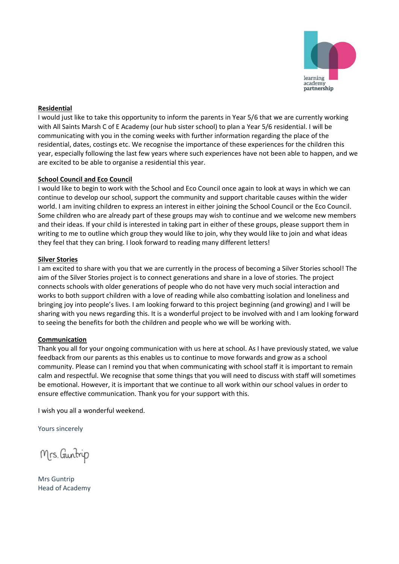

## **Residential**

I would just like to take this opportunity to inform the parents in Year 5/6 that we are currently working with All Saints Marsh C of E Academy (our hub sister school) to plan a Year 5/6 residential. I will be communicating with you in the coming weeks with further information regarding the place of the residential, dates, costings etc. We recognise the importance of these experiences for the children this year, especially following the last few years where such experiences have not been able to happen, and we are excited to be able to organise a residential this year.

### **School Council and Eco Council**

I would like to begin to work with the School and Eco Council once again to look at ways in which we can continue to develop our school, support the community and support charitable causes within the wider world. I am inviting children to express an interest in either joining the School Council or the Eco Council. Some children who are already part of these groups may wish to continue and we welcome new members and their ideas. If your child is interested in taking part in either of these groups, please support them in writing to me to outline which group they would like to join, why they would like to join and what ideas they feel that they can bring. I look forward to reading many different letters!

## **Silver Stories**

I am excited to share with you that we are currently in the process of becoming a Silver Stories school! The aim of the Silver Stories project is to connect generations and share in a love of stories. The project connects schools with older generations of people who do not have very much social interaction and works to both support children with a love of reading while also combatting isolation and loneliness and bringing joy into people's lives. I am looking forward to this project beginning (and growing) and I will be sharing with you news regarding this. It is a wonderful project to be involved with and I am looking forward to seeing the benefits for both the children and people who we will be working with.

# **Communication**

Thank you all for your ongoing communication with us here at school. As I have previously stated, we value feedback from our parents as this enables us to continue to move forwards and grow as a school community. Please can I remind you that when communicating with school staff it is important to remain calm and respectful. We recognise that some things that you will need to discuss with staff will sometimes be emotional. However, it is important that we continue to all work within our school values in order to ensure effective communication. Thank you for your support with this.

I wish you all a wonderful weekend.

Yours sincerely

Mrs. Guntrip

Mrs Guntrip Head of Academy